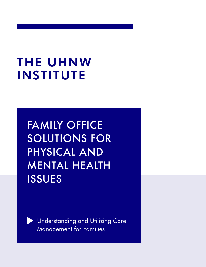# **THE UHNW INSTITUTE**

FAMILY OFFICE SOLUTIONS FOR PHYSICAL AND MENTAL HEALTH ISSUES



Understanding and Utilizing Care Management for Families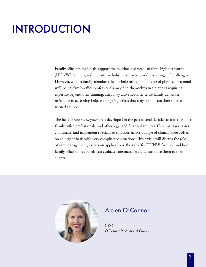## INTRODUCTION

Family office professionals support the multifaceted needs of ultra-high net worth (UHNW) families, and they utilize holistic skill sets to address a range of challenges. However, when a family member asks for help related to an issue of physical or mental well-being, family office professionals may find themselves in situations requiring expertise beyond their training. They may also encounter tense family dynamics, resistance to accepting help, and ongoing crises that may complicate their roles as trusted advisors.

The field of *care management* has developed in the past several decades to assist families, family office professionals, and other legal and financial advisors. Care managers assess, coordinate, and implement specialized solutions across a range of clinical issues, often on an urgent basis with very complicated situations. This article will discuss the role of care management, its various applications, the value for UHNW families, and how family office professionals can evaluate care managers and introduce them to their clients.



#### Arden O'Connor

**CEO** O'Conner Professional Group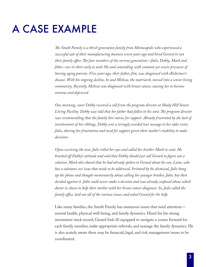## A CASE EXAMPLE

*The Smith Family is a third-generation family from Minneapolis who experienced a successful sale of their manufacturing business seven years ago and hired Gerard to run their family office. The four members of the current generation—Julie, Debby, Mark and John—are in their early to mid-50s and contending with common yet severe pressures of having aging parents. Five years ago, their father, Jim, was diagnosed with Alzheimer's disease. With his ongoing decline, he and Melissa, the matriarch, moved into a senior living community. Recently, Melissa was diagnosed with breast cancer, causing her to become anxious and depressed.* 

*One morning, sister Debby received a call from the program director at Shady Hill Senior Living Facility. Debby was told that her father had fallen in his unit. The program director was recommending that the family hire nurses for support. Already frustrated by the lack of involvement of her siblings, Debby sent a strongly worded text message to her older sister, Julie, sharing her frustration and need for support given their mother's inability to make decisions.*

*Upon receiving the text, Julie rolled her eyes and called her brother Mark to vent. He brushed off Debby's attitude and said that Debby should just call Gerard to figure out a solution. Mark also shared that he had already spoken to Gerard about his son, Liam, who has a substance use issue that needs to be addressed. Irritated by his dismissal, Julie hung up the phone and thought momentarily about calling her younger brother, John, but then decided against it. John could never make a decision and was already confused about which doctor to choose to help their mother with her breast cancer diagnosis. So, Julie called the family office, laid out all of the various issues, and asked Gerard for his help.*

Like many families, the Smith Family has numerous issues that need attention mental health, physical well-being, and family dynamics. Hired for his strong investment track record, Gerard feels ill-equipped to navigate a course forward for each family member, make appropriate referrals, and manage the family dynamics. He is also acutely aware there may be financial, legal, and risk management issues to be coordinated.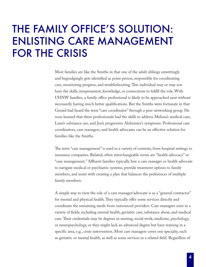### THE FAMILY OFFICE'S SOLUTION: ENLISTING CARE MANAGEMENT FOR THE CRISIS

Most families are like the Smiths in that one of the adult siblings unwittingly and begrudgingly gets identified as point person, responsible for coordinating care, monitoring progress, and troubleshooting. This individual may or may not have the skills, temperament, knowledge, or connections to fulfill the role. With UHNW families, a family office professional is likely to be approached next without necessarily having much better qualifications. But the Smiths were fortunate in that Gerard had heard the term "care coordinator" through a peer networking group. He soon learned that these professionals had the skills to address Melissa's medical care, Liam's substance use, and Jim's progressive Alzheimer's symptoms. Professional care coordinators, case managers, and health advocates can be an effective solution for families like the Smiths.

The term "care management" is used in a variety of contexts, from hospital settings to insurance companies. Related, often interchangeable terms are "health advocacy" or "case management." Affluent families typically hire a care manager or health advocate to navigate medical or psychiatric systems, provide treatment options to family members, and assist with creating a plan that balances the preferences of multiple family members.

A simple way to view the role of a care manager/advocate is as a "general contractor" for mental and physical health. They typically offer some services directly and coordinate the remaining needs from outsourced providers. Care managers exist in a variety of fields, including mental health, geriatric care, substance abuse, and medical care. Their credentials may be degrees in nursing, social work, medicine, psychology, or neuropsychology, or they might lack an advanced degree but have training in a specific area, e.g., crisis intervention. Most care managers cover one specialty, such as geriatric or mental health, as well as some services in a related field. Regardless of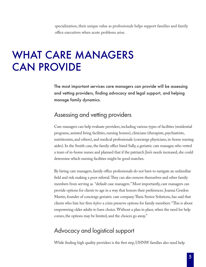specialization, their unique value as professionals helps support families and family office executives when acute problems arise.

### WHAT CARE MANAGERS CAN PROVIDE

The most important services care managers can provide will be assessing and vetting providers, finding advocacy and legal support, and helping manage family dynamics.

#### Assessing and vetting providers

Care managers can help evaluate providers, including various types of facilities (residential programs, assisted living facilities, nursing homes), clinicians (therapists, psychiatrists, nutritionists, and others), and medical professionals (concierge physicians, in-home nursing aides). In the Smith case, the family office hired Sally, a geriatric care manager, who vetted a team of in-home nurses and planned that if the patriarch Jim's needs increased, she could determine which nursing facilities might be good matches.

By hiring care managers, family office professionals do not have to navigate an unfamiliar field and risk making a poor referral. They can also remove themselves and other family members from serving as "default case managers." Most importantly, care managers can provide options for clients to age in a way that honors their preferences. Joanna Gordon Martin, founder of concierge geriatric care company Theia Senior Solutions, has said that clients who hire her firm *before* a crisis preserve options for family members: "This is about empowering older adults to have choice. Without a plan in place, when the need for help comes, the options may be limited, and the choices go away."

#### Advocacy and logistical support

While finding high quality providers is the first step, UHNW families also need help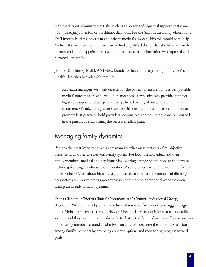with the various administrative tasks, such as advocacy and logistical support, that come with managing a medical or psychiatric diagnosis. For the Smiths, the family office found Dr. Timothy Butler, a physician and private medical advocate. His role would be to help Melissa, the matriarch with breast cancer, find a qualified doctor that she liked, collate her records, and attend appointments with her to ensure that information was captured and recorded accurately.

Jennifer Kolchinsky MSN, ANP-BC, founder of health management group OneVision Health, describes her role with families:

As health managers, we work directly for the patient to ensure that the best possible medical outcomes are achieved. In its most basic form, advocacy provides comfort, logistical support, and perspective to a patient learning about a new ailment and treatment. We take things a step further with our training as nurse practitioners to promote best practices, hold providers accountable, and ensure no stone is unturned in the pursuit of establishing the perfect medical plan.

#### Managing family dynamics

Perhaps the most important role a care manager takes on is that of a calm, objective presence in an otherwise nervous family system. For both the individual and their family members, medical and psychiatric issues bring a range of emotions to the surface, including fear, anger, sadness, and frustration. As an example, when Gerard in the family office spoke to Mark about his son, Liam, it was clear that Liam's parents had differing perspectives on how to best support their son and that their emotional responses were fueling an already difficult dynamic.

Diana Clark, the Chief of Clinical Operations at O'Connor Professional Group, elaborates: "Without an objective and educated resource, families often struggle to agree on the 'right' approach in cases of behavioral health. They seek opinions from unqualified sources, and they become more vulnerable to destructive family dynamics." Care managers unite family members around a cohesive plan and help decrease the amount of tension among family members by providing concrete options and monitoring progress toward goals.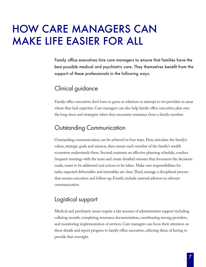### HOW CARE MANAGERS CAN MAKE LIFE EASIER FOR ALL

Family office executives hire care managers to ensure that families have the best possible medical and psychiatric care. They themselves benefit from the support of these professionals in the following ways:

#### Clinical guidance

Family office executives don't have to guess at solutions or attempt to vet providers in areas where they lack expertise. Care managers can also help family office executives plan over the long-term and strategize when they encounter resistance from a family member.

#### Outstanding Communication

Outstanding communication can be achieved in four ways. First, articulate the family's values, strategic goals and mission, then ensure each member of the family's wealth ecosystem understands them. Second, maintain an effective planning schedule, conduct frequent meetings with the team and create detailed minutes that document the decisions made, issues to be addressed and actions to be taken. Make sure responsibilities for tasks, expected deliverables and timetables are clear. Third, manage a disciplined process that ensures execution and follow-up. Fourth, include external advisors in relevant communication.

#### Logistical support

Medical and psychiatric issues require a fair amount of administrative support including collating records, completing insurance documentation, coordinating among providers, and monitoring implementation of services. Care managers can focus their attention on these details and report progress to family office executives, relieving them of having to provide that oversight.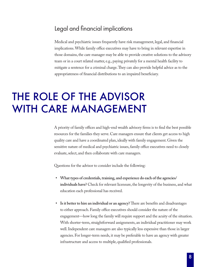#### Legal and financial implications

Medical and psychiatric issues frequently have risk management, legal, and financial implications. While family office executives may have to bring in relevant expertise in those domains, the care manager may be able to provide creative solutions to the advisory team or in a court related matter, e.g., paying privately for a mental health facility to mitigate a sentence for a criminal charge. They can also provide helpful advice as to the appropriateness of financial distributions to an impaired beneficiary.

### THE ROLE OF THE ADVISOR WITH CARE MANAGEMENT

A priority of family offices and high-end wealth advisory firms is to find the best possible resources for the families they serve. Care managers ensure that clients get access to high quality care and have a coordinated plan, ideally with family engagement. Given the sensitive nature of medical and psychiatric issues, family office executives need to closely evaluate, select, and then collaborate with care managers.

Questions for the advisor to consider include the following:

- **• What types of credentials, training, and experience do each of the agencies/ individuals have?** Check for relevant licensure, the longevity of the business, and what education each professional has received.
- **• Is it better to hire an individual or an agency?** There are benefits and disadvantages to either approach. Family office executives should consider the nature of the engagement—how long the family will require support and the acuity of the situation. With shorter-term, straightforward assignments, an individual practitioner may work well. Independent care managers are also typically less expensive than those in larger agencies. For longer-term needs, it may be preferable to have an agency with greater infrastructure and access to multiple, qualified professionals.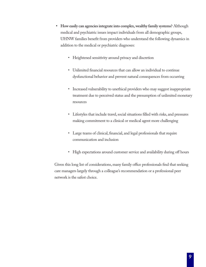- **• How easily can agencies integrate into complex, wealthy family systems?** Although medical and psychiatric issues impact individuals from all demographic groups, UHNW families benefit from providers who understand the following dynamics in addition to the medical or psychiatric diagnoses:
	- Heightened sensitivity around privacy and discretion
	- Unlimited financial resources that can allow an individual to continue dysfunctional behavior and prevent natural consequences from occurring
	- Increased vulnerability to unethical providers who may suggest inappropriate treatment due to perceived status and the presumption of unlimited monetary resources
	- Lifestyles that include travel, social situations filled with risks, and pressures making commitment to a clinical or medical agent more challenging
	- Large teams of clinical, financial, and legal professionals that require communication and inclusion
	- High expectations around customer service and availability during off hours

Given this long list of considerations, many family office professionals find that seeking care managers largely through a colleague's recommendation or a professional peer network is the safest choice.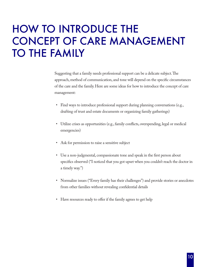## HOW TO INTRODUCE THE CONCEPT OF CARE MANAGEMENT TO THE FAMILY

Suggesting that a family needs professional support can be a delicate subject. The approach, method of communication, and tone will depend on the specific circumstances of the care and the family. Here are some ideas for how to introduce the concept of care management:

- Find ways to introduce professional support during planning conversations (e.g., drafting of trust and estate documents or organizing family gatherings)
- Utilize crises as opportunities (e.g., family conflicts, overspending, legal or medical emergencies)
- Ask for permission to raise a sensitive subject
- Use a non-judgmental, compassionate tone and speak in the first person about specifics observed ("I noticed that you got upset when you couldn't reach the doctor in a timely way.")
- Normalize issues ("Every family has their challenges") and provide stories or anecdotes from other families without revealing confidential details
- Have resources ready to offer if the family agrees to get help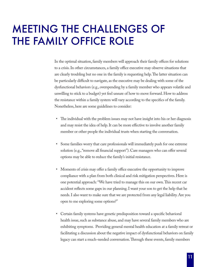### MEETING THE CHALLENGES OF THE FAMILY OFFICE ROLE

In the optimal situation, family members will approach their family offices for solutions to a crisis. In other circumstances, a family office executive may observe situations that are clearly troubling but no one in the family is requesting help. The latter situation can be particularly difficult to navigate, as the executive may be dealing with some of the dysfunctional behaviors (e.g., overspending by a family member who appears volatile and unwilling to stick to a budget) yet feel unsure of how to move forward. How to address the resistance within a family system will vary according to the specifics of the family. Nonetheless, here are some guidelines to consider:

- The individual with the problem issues may not have insight into his or her diagnosis and may resist the idea of help. It can be more effective to involve another family member or other people the individual trusts when starting the conversation.
- Some families worry that care professionals will immediately push for one extreme solution (e.g., "remove all financial support"). Care managers who can offer several options may be able to reduce the family's initial resistance.
- Moments of crisis may offer a family office executive the opportunity to improve compliance with a plan from both clinical and risk mitigation perspectives. Here is one potential approach: "We have tried to manage this on our own. This recent car accident reflects some gaps in our planning. I want your son to get the help that he needs. I also want to make sure that we are protected from any legal liability. Are you open to me exploring some options?"
- Certain family systems have genetic predisposition toward a specific behavioral health issue, such as substance abuse, and may have several family members who are exhibiting symptoms. Providing general mental health education at a family retreat or facilitating a discussion about the negative impact of dysfunctional behaviors on family legacy can start a much-needed conversation. Through these events, family members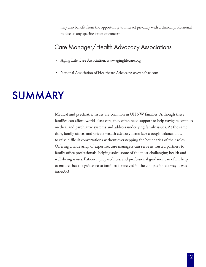may also benefit from the opportunity to interact privately with a clinical professional to discuss any specific issues of concern.

#### Care Manager/Health Advocacy Associations

- Aging Life Care Association: www.aginglifecare.org
- National Association of Healthcare Advocacy: www.nahac.com

### SUMMARY

Medical and psychiatric issues are common in UHNW families. Although these families can afford world-class care, they often need support to help navigate complex medical and psychiatric systems and address underlying family issues. At the same time, family offices and private wealth advisory firms face a tough balance: how to raise difficult conversations without overstepping the boundaries of their roles. Offering a wide array of expertise, care managers can serve as trusted partners to family office professionals, helping solve some of the most challenging health and well-being issues. Patience, preparedness, and professional guidance can often help to ensure that the guidance to families is received in the compassionate way it was intended.